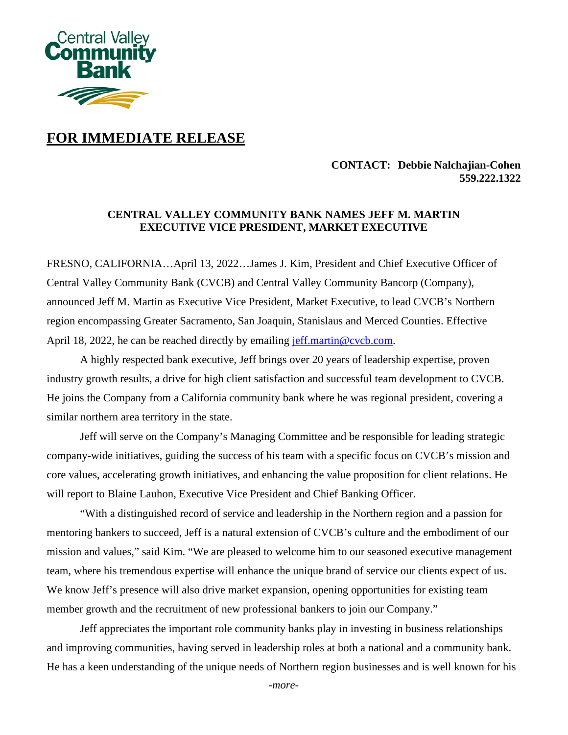

# **FOR IMMEDIATE RELEASE**

### **CONTACT: Debbie Nalchajian-Cohen 559.222.1322**

## **CENTRAL VALLEY COMMUNITY BANK NAMES JEFF M. MARTIN EXECUTIVE VICE PRESIDENT, MARKET EXECUTIVE**

FRESNO, CALIFORNIA…April 13, 2022…James J. Kim, President and Chief Executive Officer of Central Valley Community Bank (CVCB) and Central Valley Community Bancorp (Company), announced Jeff M. Martin as Executive Vice President, Market Executive, to lead CVCB's Northern region encompassing Greater Sacramento, San Joaquin, Stanislaus and Merced Counties. Effective April 18, 2022, he can be reached directly by emailing [jeff.martin@cvcb.com.](mailto:jeff.martin@cvcb.com)

A highly respected bank executive, Jeff brings over 20 years of leadership expertise, proven industry growth results, a drive for high client satisfaction and successful team development to CVCB. He joins the Company from a California community bank where he was regional president, covering a similar northern area territory in the state.

Jeff will serve on the Company's Managing Committee and be responsible for leading strategic company-wide initiatives, guiding the success of his team with a specific focus on CVCB's mission and core values, accelerating growth initiatives, and enhancing the value proposition for client relations. He will report to Blaine Lauhon, Executive Vice President and Chief Banking Officer.

"With a distinguished record of service and leadership in the Northern region and a passion for mentoring bankers to succeed, Jeff is a natural extension of CVCB's culture and the embodiment of our mission and values," said Kim. "We are pleased to welcome him to our seasoned executive management team, where his tremendous expertise will enhance the unique brand of service our clients expect of us. We know Jeff's presence will also drive market expansion, opening opportunities for existing team member growth and the recruitment of new professional bankers to join our Company."

Jeff appreciates the important role community banks play in investing in business relationships and improving communities, having served in leadership roles at both a national and a community bank. He has a keen understanding of the unique needs of Northern region businesses and is well known for his